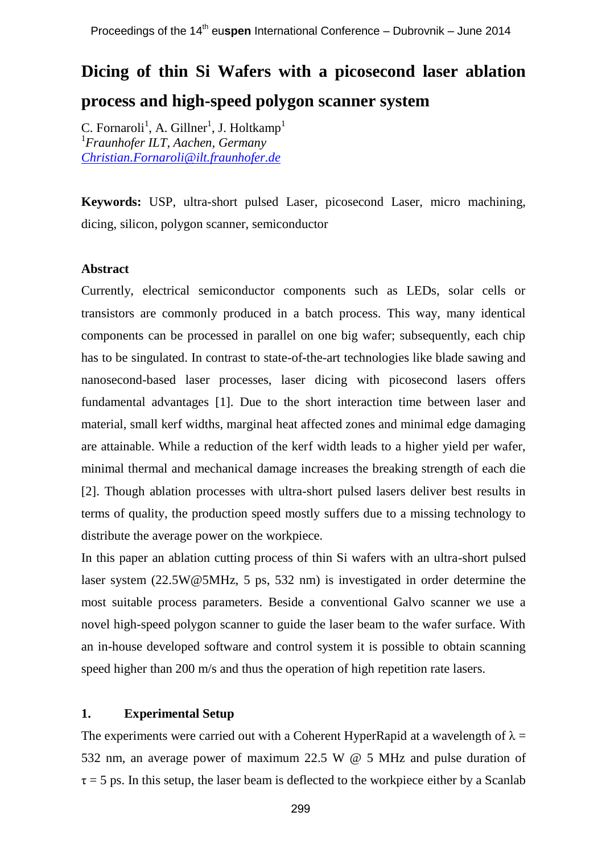# **Dicing of thin Si Wafers with a picosecond laser ablation process and high-speed polygon scanner system**

C. Fornaroli<sup>1</sup>, A. Gillner<sup>1</sup>, J. Holtkamp<sup>1</sup> <sup>1</sup>*Fraunhofer ILT, Aachen, Germany [Christian.Fornaroli@ilt.fraunhofer.de](mailto:Christian.Fornaroli@ilt.fraunhofer.de)*

**Keywords:** USP, ultra-short pulsed Laser, picosecond Laser, micro machining, dicing, silicon, polygon scanner, semiconductor

## **Abstract**

Currently, electrical semiconductor components such as LEDs, solar cells or transistors are commonly produced in a batch process. This way, many identical components can be processed in parallel on one big wafer; subsequently, each chip has to be singulated. In contrast to state-of-the-art technologies like blade sawing and nanosecond-based laser processes, laser dicing with picosecond lasers offers fundamental advantages [1]. Due to the short interaction time between laser and material, small kerf widths, marginal heat affected zones and minimal edge damaging are attainable. While a reduction of the kerf width leads to a higher yield per wafer, minimal thermal and mechanical damage increases the breaking strength of each die [2]. Though ablation processes with ultra-short pulsed lasers deliver best results in terms of quality, the production speed mostly suffers due to a missing technology to distribute the average power on the workpiece.

In this paper an ablation cutting process of thin Si wafers with an ultra-short pulsed laser system (22.5W@5MHz, 5 ps, 532 nm) is investigated in order determine the most suitable process parameters. Beside a conventional Galvo scanner we use a novel high-speed polygon scanner to guide the laser beam to the wafer surface. With an in-house developed software and control system it is possible to obtain scanning speed higher than 200 m/s and thus the operation of high repetition rate lasers.

## **1. Experimental Setup**

The experiments were carried out with a Coherent HyperRapid at a wavelength of  $\lambda =$ 532 nm, an average power of maximum 22.5 W @ 5 MHz and pulse duration of  $\tau = 5$  ps. In this setup, the laser beam is deflected to the workpiece either by a Scanlab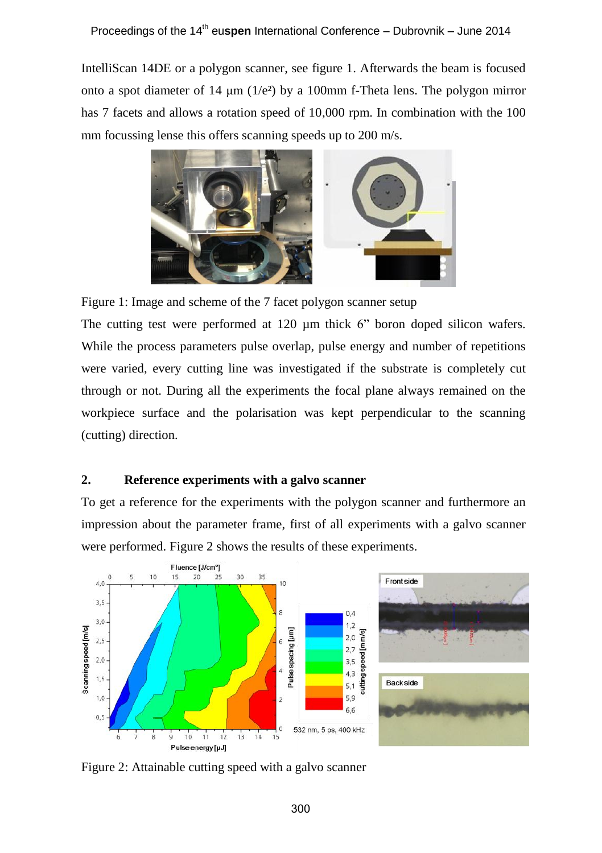IntelliScan 14DE or a polygon scanner, see figure 1. Afterwards the beam is focused onto a spot diameter of 14  $\mu$ m (1/e<sup>2</sup>) by a 100mm f-Theta lens. The polygon mirror has 7 facets and allows a rotation speed of 10,000 rpm. In combination with the 100 mm focussing lense this offers scanning speeds up to 200 m/s.



Figure 1: Image and scheme of the 7 facet polygon scanner setup

The cutting test were performed at 120  $\mu$ m thick 6" boron doped silicon wafers. While the process parameters pulse overlap, pulse energy and number of repetitions were varied, every cutting line was investigated if the substrate is completely cut through or not. During all the experiments the focal plane always remained on the workpiece surface and the polarisation was kept perpendicular to the scanning (cutting) direction.

## **2. Reference experiments with a galvo scanner**

To get a reference for the experiments with the polygon scanner and furthermore an impression about the parameter frame, first of all experiments with a galvo scanner were performed. Figure 2 shows the results of these experiments.



Figure 2: Attainable cutting speed with a galvo scanner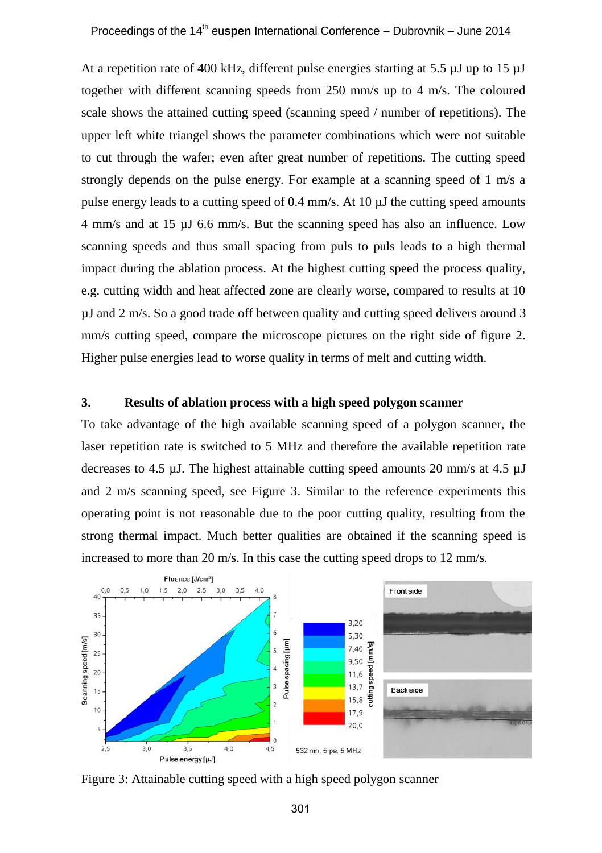At a repetition rate of 400 kHz, different pulse energies starting at 5.5 µJ up to 15 µJ together with different scanning speeds from 250 mm/s up to 4 m/s. The coloured scale shows the attained cutting speed (scanning speed / number of repetitions). The upper left white triangel shows the parameter combinations which were not suitable to cut through the wafer; even after great number of repetitions. The cutting speed strongly depends on the pulse energy. For example at a scanning speed of 1 m/s a pulse energy leads to a cutting speed of 0.4 mm/s. At 10 µJ the cutting speed amounts 4 mm/s and at 15 µJ 6.6 mm/s. But the scanning speed has also an influence. Low scanning speeds and thus small spacing from puls to puls leads to a high thermal impact during the ablation process. At the highest cutting speed the process quality, e.g. cutting width and heat affected zone are clearly worse, compared to results at 10 µJ and 2 m/s. So a good trade off between quality and cutting speed delivers around 3 mm/s cutting speed, compare the microscope pictures on the right side of figure 2. Higher pulse energies lead to worse quality in terms of melt and cutting width.

## **3. Results of ablation process with a high speed polygon scanner**

To take advantage of the high available scanning speed of a polygon scanner, the laser repetition rate is switched to 5 MHz and therefore the available repetition rate decreases to 4.5 µJ. The highest attainable cutting speed amounts 20 mm/s at 4.5  $\mu$ J and 2 m/s scanning speed, see Figure 3. Similar to the reference experiments this operating point is not reasonable due to the poor cutting quality, resulting from the strong thermal impact. Much better qualities are obtained if the scanning speed is increased to more than 20 m/s. In this case the cutting speed drops to 12 mm/s.



Figure 3: Attainable cutting speed with a high speed polygon scanner